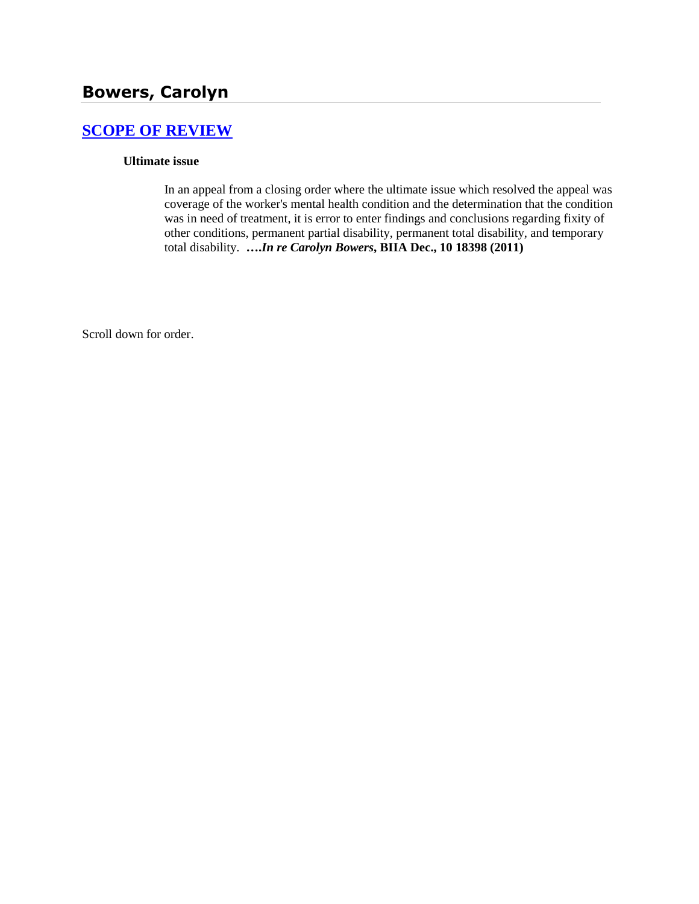# **[SCOPE OF REVIEW](http://www.biia.wa.gov/SDSubjectIndex.html#SCOPE_OF_REVIEW)**

### **Ultimate issue**

In an appeal from a closing order where the ultimate issue which resolved the appeal was coverage of the worker's mental health condition and the determination that the condition was in need of treatment, it is error to enter findings and conclusions regarding fixity of other conditions, permanent partial disability, permanent total disability, and temporary total disability. **….***In re Carolyn Bowers***, BIIA Dec., 10 18398 (2011)**

Scroll down for order.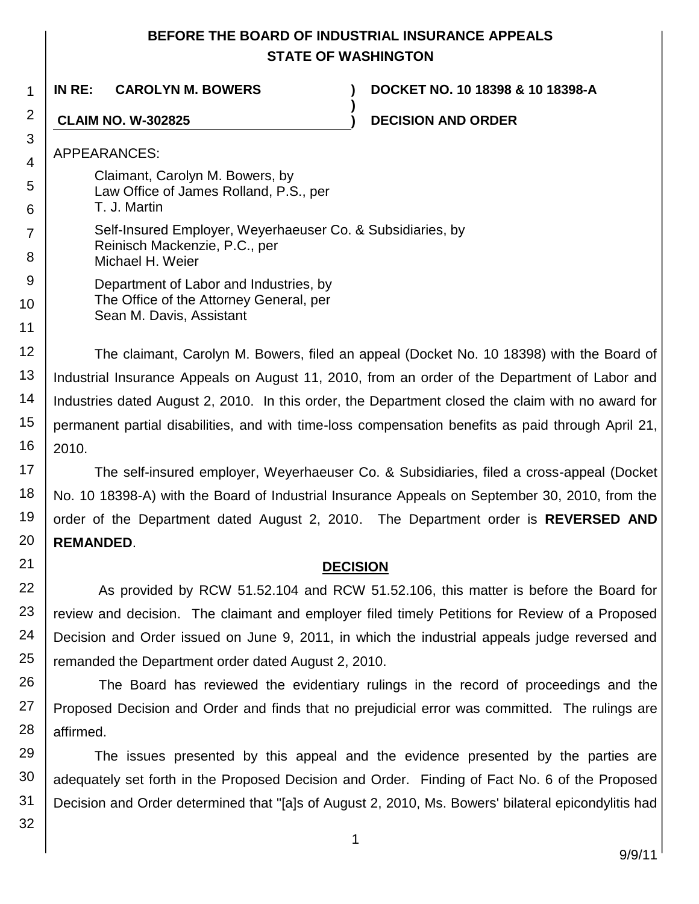# **BEFORE THE BOARD OF INDUSTRIAL INSURANCE APPEALS STATE OF WASHINGTON**

**)**

**IN RE: CAROLYN M. BOWERS ) DOCKET NO. 10 18398 & 10 18398-A**

**CLAIM NO. W-302825 ) DECISION AND ORDER**

APPEARANCES:

1

2

3

4

5 6

11

21

- Claimant, Carolyn M. Bowers, by Law Office of James Rolland, P.S., per T. J. Martin Self-Insured Employer, Weyerhaeuser Co. & Subsidiaries, by
- 7 Reinisch Mackenzie, P.C., per
- 8 Michael H. Weier
- 9 10 Department of Labor and Industries, by The Office of the Attorney General, per Sean M. Davis, Assistant

12 13 14 15 16 The claimant, Carolyn M. Bowers, filed an appeal (Docket No. 10 18398) with the Board of Industrial Insurance Appeals on August 11, 2010, from an order of the Department of Labor and Industries dated August 2, 2010. In this order, the Department closed the claim with no award for permanent partial disabilities, and with time-loss compensation benefits as paid through April 21, 2010.

17 18 19 20 The self-insured employer, Weyerhaeuser Co. & Subsidiaries, filed a cross-appeal (Docket No. 10 18398-A) with the Board of Industrial Insurance Appeals on September 30, 2010, from the order of the Department dated August 2, 2010. The Department order is **REVERSED AND REMANDED**.

# **DECISION**

22 23 24 25 As provided by RCW 51.52.104 and RCW 51.52.106, this matter is before the Board for review and decision. The claimant and employer filed timely Petitions for Review of a Proposed Decision and Order issued on June 9, 2011, in which the industrial appeals judge reversed and remanded the Department order dated August 2, 2010.

26 27 28 The Board has reviewed the evidentiary rulings in the record of proceedings and the Proposed Decision and Order and finds that no prejudicial error was committed. The rulings are affirmed.

29 30 31 The issues presented by this appeal and the evidence presented by the parties are adequately set forth in the Proposed Decision and Order. Finding of Fact No. 6 of the Proposed Decision and Order determined that "[a]s of August 2, 2010, Ms. Bowers' bilateral epicondylitis had

32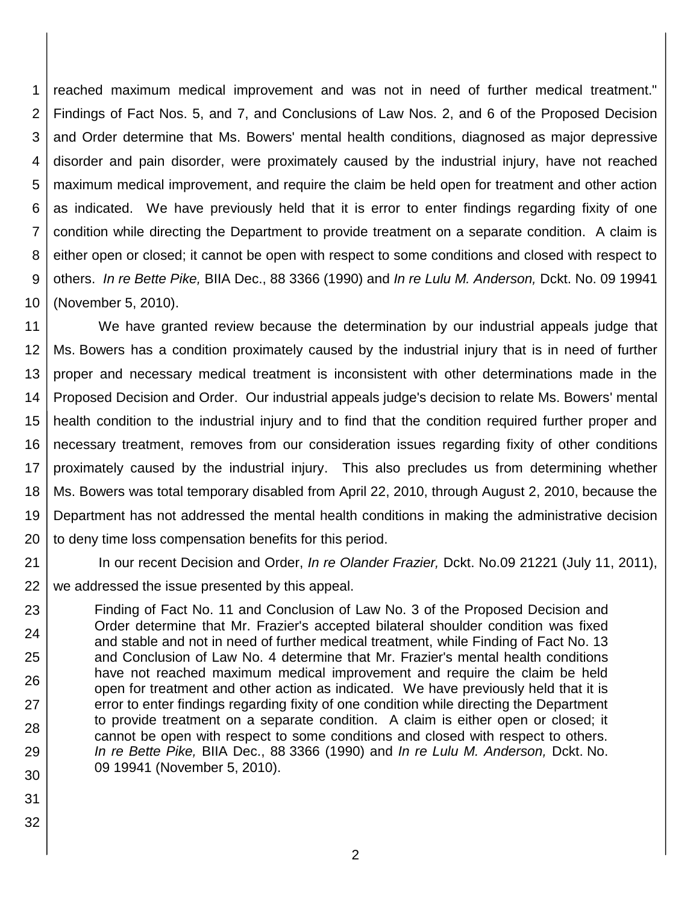1 2 3 4 5 6 7 8 9 10 reached maximum medical improvement and was not in need of further medical treatment." Findings of Fact Nos. 5, and 7, and Conclusions of Law Nos. 2, and 6 of the Proposed Decision and Order determine that Ms. Bowers' mental health conditions, diagnosed as major depressive disorder and pain disorder, were proximately caused by the industrial injury, have not reached maximum medical improvement, and require the claim be held open for treatment and other action as indicated. We have previously held that it is error to enter findings regarding fixity of one condition while directing the Department to provide treatment on a separate condition. A claim is either open or closed; it cannot be open with respect to some conditions and closed with respect to others. *In re Bette Pike,* BIIA Dec., 88 3366 (1990) and *In re Lulu M. Anderson,* Dckt. No. 09 19941 (November 5, 2010).

11 12 13 14 15 16 17 18 19 20 We have granted review because the determination by our industrial appeals judge that Ms. Bowers has a condition proximately caused by the industrial injury that is in need of further proper and necessary medical treatment is inconsistent with other determinations made in the Proposed Decision and Order. Our industrial appeals judge's decision to relate Ms. Bowers' mental health condition to the industrial injury and to find that the condition required further proper and necessary treatment, removes from our consideration issues regarding fixity of other conditions proximately caused by the industrial injury. This also precludes us from determining whether Ms. Bowers was total temporary disabled from April 22, 2010, through August 2, 2010, because the Department has not addressed the mental health conditions in making the administrative decision to deny time loss compensation benefits for this period.

21

22 In our recent Decision and Order, *In re Olander Frazier,* Dckt. No.09 21221 (July 11, 2011), we addressed the issue presented by this appeal.

23 24 25 26 27 28 29 30 Finding of Fact No. 11 and Conclusion of Law No. 3 of the Proposed Decision and Order determine that Mr. Frazier's accepted bilateral shoulder condition was fixed and stable and not in need of further medical treatment, while Finding of Fact No. 13 and Conclusion of Law No. 4 determine that Mr. Frazier's mental health conditions have not reached maximum medical improvement and require the claim be held open for treatment and other action as indicated. We have previously held that it is error to enter findings regarding fixity of one condition while directing the Department to provide treatment on a separate condition. A claim is either open or closed; it cannot be open with respect to some conditions and closed with respect to others. *In re Bette Pike,* BIIA Dec., 88 3366 (1990) and *In re Lulu M. Anderson,* Dckt. No. 09 19941 (November 5, 2010).

- 31
- 32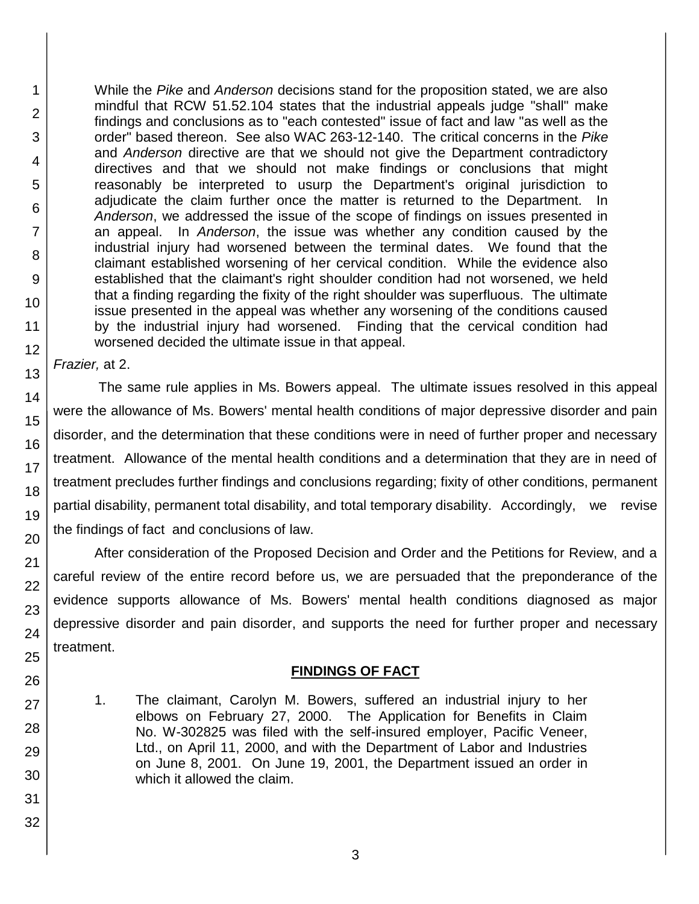While the *Pike* and *Anderson* decisions stand for the proposition stated, we are also mindful that RCW 51.52.104 states that the industrial appeals judge "shall" make findings and conclusions as to "each contested" issue of fact and law "as well as the order" based thereon. See also WAC 263-12-140. The critical concerns in the *Pike*  and *Anderson* directive are that we should not give the Department contradictory directives and that we should not make findings or conclusions that might reasonably be interpreted to usurp the Department's original jurisdiction to adjudicate the claim further once the matter is returned to the Department. In *Anderson*, we addressed the issue of the scope of findings on issues presented in an appeal. In *Anderson*, the issue was whether any condition caused by the industrial injury had worsened between the terminal dates. We found that the claimant established worsening of her cervical condition. While the evidence also established that the claimant's right shoulder condition had not worsened, we held that a finding regarding the fixity of the right shoulder was superfluous. The ultimate issue presented in the appeal was whether any worsening of the conditions caused by the industrial injury had worsened. Finding that the cervical condition had worsened decided the ultimate issue in that appeal.

*Frazier,* at 2.

The same rule applies in Ms. Bowers appeal. The ultimate issues resolved in this appeal were the allowance of Ms. Bowers' mental health conditions of major depressive disorder and pain disorder, and the determination that these conditions were in need of further proper and necessary treatment. Allowance of the mental health conditions and a determination that they are in need of treatment precludes further findings and conclusions regarding; fixity of other conditions, permanent partial disability, permanent total disability, and total temporary disability. Accordingly, we revise the findings of fact and conclusions of law.

After consideration of the Proposed Decision and Order and the Petitions for Review, and a careful review of the entire record before us, we are persuaded that the preponderance of the evidence supports allowance of Ms. Bowers' mental health conditions diagnosed as major depressive disorder and pain disorder, and supports the need for further proper and necessary treatment.

## **FINDINGS OF FACT**

- 1. The claimant, Carolyn M. Bowers, suffered an industrial injury to her elbows on February 27, 2000. The Application for Benefits in Claim No. W-302825 was filed with the self-insured employer, Pacific Veneer, Ltd., on April 11, 2000, and with the Department of Labor and Industries on June 8, 2001. On June 19, 2001, the Department issued an order in which it allowed the claim.
- 5 6 7 8 9 10 11 12 13 14 15 16 17 18 19 20 21 22 23 24 25 26 27 28 29 30 31 32

1

2

3

4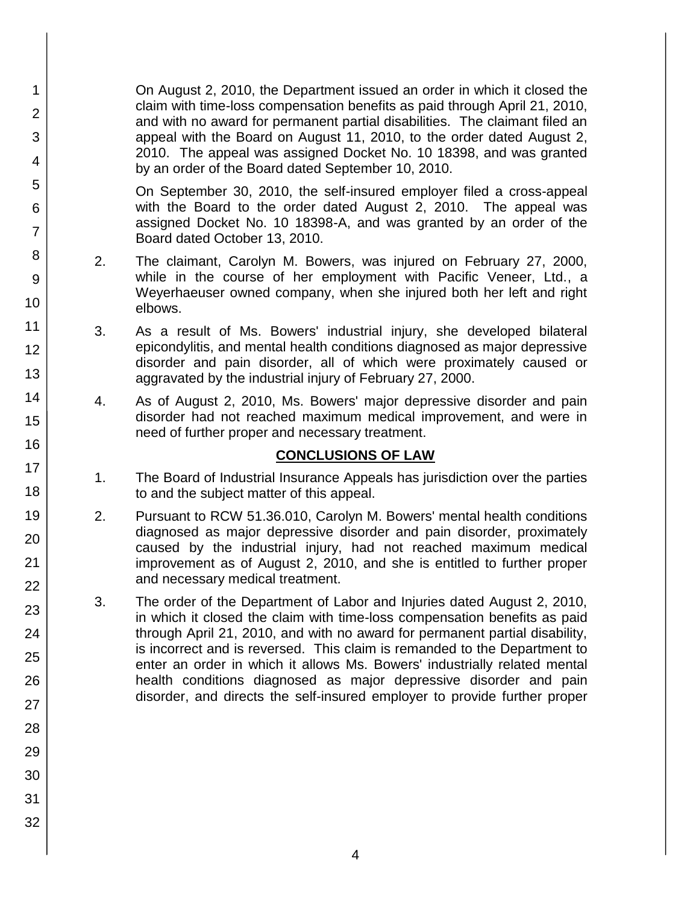On August 2, 2010, the Department issued an order in which it closed the claim with time-loss compensation benefits as paid through April 21, 2010, and with no award for permanent partial disabilities. The claimant filed an appeal with the Board on August 11, 2010, to the order dated August 2, 2010. The appeal was assigned Docket No. 10 18398, and was granted by an order of the Board dated September 10, 2010.

On September 30, 2010, the self-insured employer filed a cross-appeal with the Board to the order dated August 2, 2010. The appeal was assigned Docket No. 10 18398-A, and was granted by an order of the Board dated October 13, 2010.

- 2. The claimant, Carolyn M. Bowers, was injured on February 27, 2000, while in the course of her employment with Pacific Veneer, Ltd., a Weyerhaeuser owned company, when she injured both her left and right elbows.
- 3. As a result of Ms. Bowers' industrial injury, she developed bilateral epicondylitis, and mental health conditions diagnosed as major depressive disorder and pain disorder, all of which were proximately caused or aggravated by the industrial injury of February 27, 2000.
- 4. As of August 2, 2010, Ms. Bowers' major depressive disorder and pain disorder had not reached maximum medical improvement, and were in need of further proper and necessary treatment.

# **CONCLUSIONS OF LAW**

- 1. The Board of Industrial Insurance Appeals has jurisdiction over the parties to and the subject matter of this appeal.
- 2. Pursuant to RCW 51.36.010, Carolyn M. Bowers' mental health conditions diagnosed as major depressive disorder and pain disorder, proximately caused by the industrial injury, had not reached maximum medical improvement as of August 2, 2010, and she is entitled to further proper and necessary medical treatment.
- 3. The order of the Department of Labor and Injuries dated August 2, 2010, in which it closed the claim with time-loss compensation benefits as paid through April 21, 2010, and with no award for permanent partial disability, is incorrect and is reversed. This claim is remanded to the Department to enter an order in which it allows Ms. Bowers' industrially related mental health conditions diagnosed as major depressive disorder and pain disorder, and directs the self-insured employer to provide further proper
- 1 2 3 4 5 6 7 8 9 10 11 12 13 14 15 16 17 18 19 20 21 22 23 24 25 26 27 28 29 30 31 32